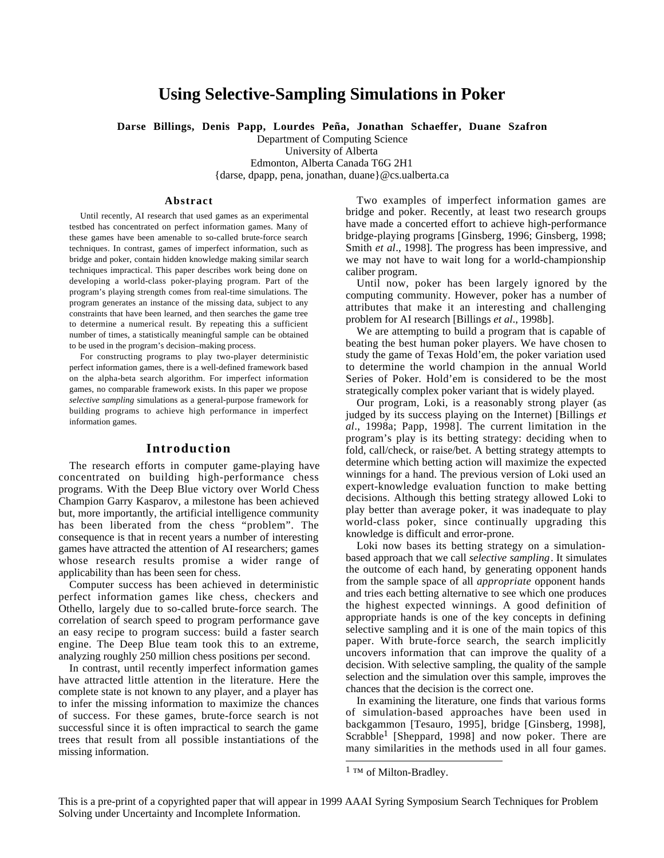# **Using Selective-Sampling Simulations in Poker**

**Darse Billings, Denis Papp, Lourdes Peña, Jonathan Schaeffer, Duane Szafron**

Department of Computing Science University of Alberta Edmonton, Alberta Canada T6G 2H1 {darse, dpapp, pena, jonathan, duane}@cs.ualberta.ca

#### **Abstract**

Until recently, AI research that used games as an experimental testbed has concentrated on perfect information games. Many of these games have been amenable to so-called brute-force search techniques. In contrast, games of imperfect information, such as bridge and poker, contain hidden knowledge making similar search techniques impractical. This paper describes work being done on developing a world-class poker-playing program. Part of the program's playing strength comes from real-time simulations. The program generates an instance of the missing data, subject to any constraints that have been learned, and then searches the game tree to determine a numerical result. By repeating this a sufficient number of times, a statistically meaningful sample can be obtained to be used in the program's decision–making process.

For constructing programs to play two-player deterministic perfect information games, there is a well-defined framework based on the alpha-beta search algorithm. For imperfect information games, no comparable framework exists. In this paper we propose *selective sampling* simulations as a general-purpose framework for building programs to achieve high performance in imperfect information games.

# **Introduction**

The research efforts in computer game-playing have concentrated on building high-performance chess programs. With the Deep Blue victory over World Chess Champion Garry Kasparov, a milestone has been achieved but, more importantly, the artificial intelligence community has been liberated from the chess "problem". The consequence is that in recent years a number of interesting games have attracted the attention of AI researchers; games whose research results promise a wider range of applicability than has been seen for chess.

Computer success has been achieved in deterministic perfect information games like chess, checkers and Othello, largely due to so-called brute-force search. The correlation of search speed to program performance gave an easy recipe to program success: build a faster search engine. The Deep Blue team took this to an extreme, analyzing roughly 250 million chess positions per second.

In contrast, until recently imperfect information games have attracted little attention in the literature. Here the complete state is not known to any player, and a player has to infer the missing information to maximize the chances of success. For these games, brute-force search is not successful since it is often impractical to search the game trees that result from all possible instantiations of the missing information.

Two examples of imperfect information games are bridge and poker. Recently, at least two research groups have made a concerted effort to achieve high-performance bridge-playing programs [Ginsberg, 1996; Ginsberg, 1998; Smith *et al*., 1998]. The progress has been impressive, and we may not have to wait long for a world-championship caliber program.

Until now, poker has been largely ignored by the computing community. However, poker has a number of attributes that make it an interesting and challenging problem for AI research [Billings *et al*., 1998b].

We are attempting to build a program that is capable of beating the best human poker players. We have chosen to study the game of Texas Hold'em, the poker variation used to determine the world champion in the annual World Series of Poker. Hold'em is considered to be the most strategically complex poker variant that is widely played.

Our program, Loki, is a reasonably strong player (as judged by its success playing on the Internet) [Billings *et al*., 1998a; Papp, 1998]. The current limitation in the program's play is its betting strategy: deciding when to fold, call/check, or raise/bet. A betting strategy attempts to determine which betting action will maximize the expected winnings for a hand. The previous version of Loki used an expert-knowledge evaluation function to make betting decisions. Although this betting strategy allowed Loki to play better than average poker, it was inadequate to play world-class poker, since continually upgrading this knowledge is difficult and error-prone.

Loki now bases its betting strategy on a simulationbased approach that we call *selective sampling*. It simulates the outcome of each hand, by generating opponent hands from the sample space of all *appropriate* opponent hands and tries each betting alternative to see which one produces the highest expected winnings. A good definition of appropriate hands is one of the key concepts in defining selective sampling and it is one of the main topics of this paper. With brute-force search, the search implicitly uncovers information that can improve the quality of a decision. With selective sampling, the quality of the sample selection and the simulation over this sample, improves the chances that the decision is the correct one.

In examining the literature, one finds that various forms of simulation-based approaches have been used in backgammon [Tesauro, 1995], bridge [Ginsberg, 1998], Scrabble<sup>1</sup> [Sheppard, 1998] and now poker. There are many similarities in the methods used in all four games.

 $\overline{a}$ 

<sup>&</sup>lt;sup>1</sup> ™ of Milton-Bradley.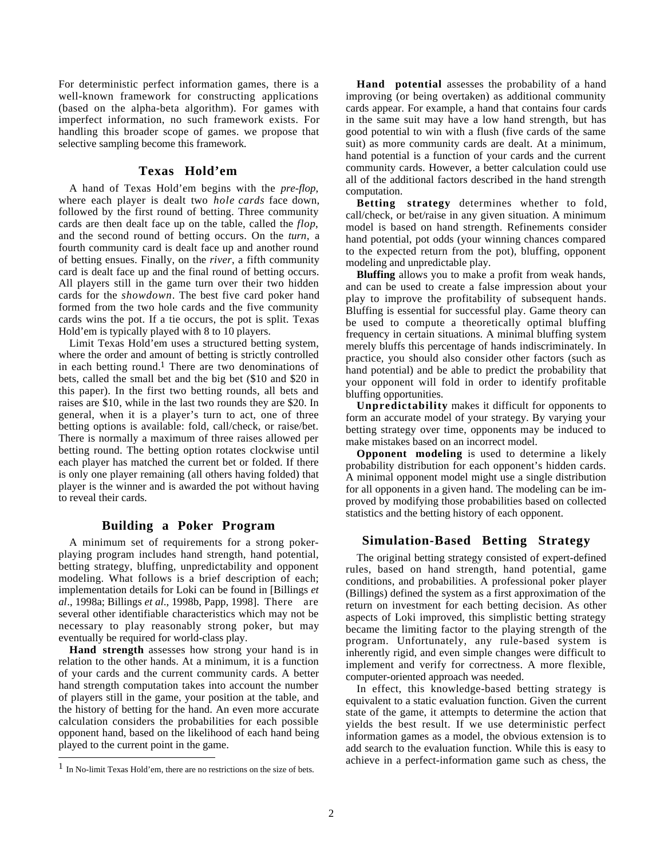For deterministic perfect information games, there is a well-known framework for constructing applications (based on the alpha-beta algorithm). For games with imperfect information, no such framework exists. For handling this broader scope of games. we propose that selective sampling become this framework*.*

# **Texas Hold'em**

A hand of Texas Hold'em begins with the *pre-flop*, where each player is dealt two *hole cards* face down, followed by the first round of betting. Three community cards are then dealt face up on the table, called the *flop*, and the second round of betting occurs. On the *turn*, a fourth community card is dealt face up and another round of betting ensues. Finally, on the *river*, a fifth community card is dealt face up and the final round of betting occurs. All players still in the game turn over their two hidden cards for the *showdown*. The best five card poker hand formed from the two hole cards and the five community cards wins the pot. If a tie occurs, the pot is split. Texas Hold'em is typically played with 8 to 10 players.

Limit Texas Hold'em uses a structured betting system, where the order and amount of betting is strictly controlled in each betting round.<sup>1</sup> There are two denominations of bets, called the small bet and the big bet (\$10 and \$20 in this paper). In the first two betting rounds, all bets and raises are \$10, while in the last two rounds they are \$20. In general, when it is a player's turn to act, one of three betting options is available: fold, call/check, or raise/bet. There is normally a maximum of three raises allowed per betting round. The betting option rotates clockwise until each player has matched the current bet or folded. If there is only one player remaining (all others having folded) that player is the winner and is awarded the pot without having to reveal their cards.

# **Building a Poker Program**

A minimum set of requirements for a strong pokerplaying program includes hand strength, hand potential, betting strategy, bluffing, unpredictability and opponent modeling. What follows is a brief description of each; implementation details for Loki can be found in [Billings *et al*., 1998a; Billings *et al*., 1998b, Papp, 1998]. There are several other identifiable characteristics which may not be necessary to play reasonably strong poker, but may eventually be required for world-class play.

**Hand strength** assesses how strong your hand is in relation to the other hands. At a minimum, it is a function of your cards and the current community cards. A better hand strength computation takes into account the number of players still in the game, your position at the table, and the history of betting for the hand. An even more accurate calculation considers the probabilities for each possible opponent hand, based on the likelihood of each hand being played to the current point in the game.

 $\overline{a}$ 

**Hand potential** assesses the probability of a hand improving (or being overtaken) as additional community cards appear. For example, a hand that contains four cards in the same suit may have a low hand strength, but has good potential to win with a flush (five cards of the same suit) as more community cards are dealt. At a minimum, hand potential is a function of your cards and the current community cards. However, a better calculation could use all of the additional factors described in the hand strength computation.

**Betting strategy** determines whether to fold, call/check, or bet/raise in any given situation. A minimum model is based on hand strength. Refinements consider hand potential, pot odds (your winning chances compared to the expected return from the pot), bluffing, opponent modeling and unpredictable play.

**Bluffing** allows you to make a profit from weak hands, and can be used to create a false impression about your play to improve the profitability of subsequent hands. Bluffing is essential for successful play. Game theory can be used to compute a theoretically optimal bluffing frequency in certain situations. A minimal bluffing system merely bluffs this percentage of hands indiscriminately. In practice, you should also consider other factors (such as hand potential) and be able to predict the probability that your opponent will fold in order to identify profitable bluffing opportunities.

**Unpredictability** makes it difficult for opponents to form an accurate model of your strategy. By varying your betting strategy over time, opponents may be induced to make mistakes based on an incorrect model.

**Opponent modeling** is used to determine a likely probability distribution for each opponent's hidden cards. A minimal opponent model might use a single distribution for all opponents in a given hand. The modeling can be improved by modifying those probabilities based on collected statistics and the betting history of each opponent.

# **Simulation-Based Betting Strategy**

The original betting strategy consisted of expert-defined rules, based on hand strength, hand potential, game conditions, and probabilities. A professional poker player (Billings) defined the system as a first approximation of the return on investment for each betting decision. As other aspects of Loki improved, this simplistic betting strategy became the limiting factor to the playing strength of the program. Unfortunately, any rule-based system is inherently rigid, and even simple changes were difficult to implement and verify for correctness. A more flexible, computer-oriented approach was needed.

In effect, this knowledge-based betting strategy is equivalent to a static evaluation function. Given the current state of the game, it attempts to determine the action that yields the best result. If we use deterministic perfect information games as a model, the obvious extension is to add search to the evaluation function. While this is easy to achieve in a perfect-information game such as chess, the

 $<sup>1</sup>$  In No-limit Texas Hold'em, there are no restrictions on the size of bets.</sup>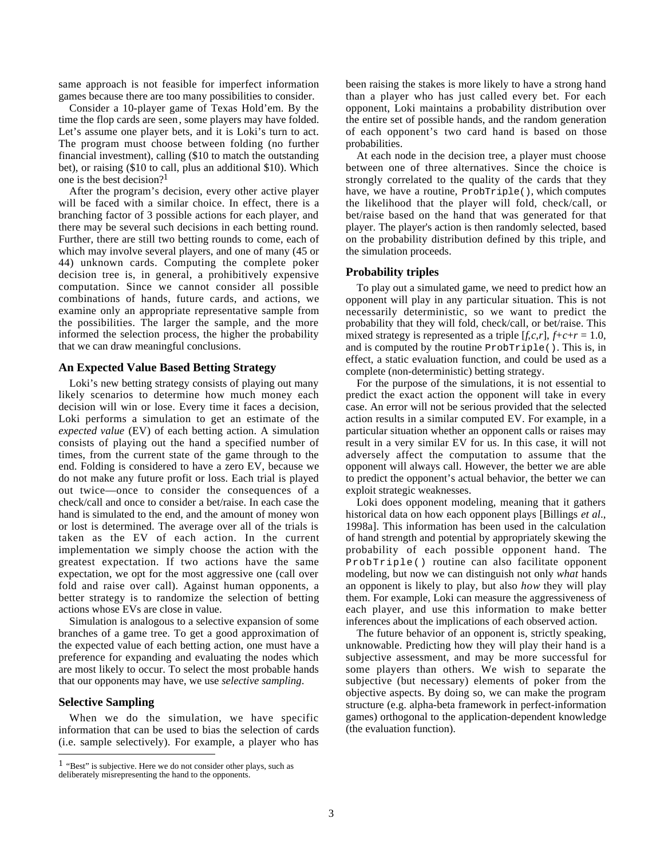same approach is not feasible for imperfect information games because there are too many possibilities to consider.

Consider a 10-player game of Texas Hold'em. By the time the flop cards are seen, some players may have folded. Let's assume one player bets, and it is Loki's turn to act. The program must choose between folding (no further financial investment), calling (\$10 to match the outstanding bet), or raising (\$10 to call, plus an additional \$10). Which one is the best decision?<sup>1</sup>

After the program's decision, every other active player will be faced with a similar choice. In effect, there is a branching factor of 3 possible actions for each player, and there may be several such decisions in each betting round. Further, there are still two betting rounds to come, each of which may involve several players, and one of many (45 or 44) unknown cards. Computing the complete poker decision tree is, in general, a prohibitively expensive computation. Since we cannot consider all possible combinations of hands, future cards, and actions, we examine only an appropriate representative sample from the possibilities. The larger the sample, and the more informed the selection process, the higher the probability that we can draw meaningful conclusions.

#### **An Expected Value Based Betting Strategy**

Loki's new betting strategy consists of playing out many likely scenarios to determine how much money each decision will win or lose. Every time it faces a decision, Loki performs a simulation to get an estimate of the *expected value* (EV) of each betting action. A simulation consists of playing out the hand a specified number of times, from the current state of the game through to the end. Folding is considered to have a zero EV, because we do not make any future profit or loss. Each trial is played out twice—once to consider the consequences of a check/call and once to consider a bet/raise. In each case the hand is simulated to the end, and the amount of money won or lost is determined. The average over all of the trials is taken as the EV of each action. In the current implementation we simply choose the action with the greatest expectation. If two actions have the same expectation, we opt for the most aggressive one (call over fold and raise over call). Against human opponents, a better strategy is to randomize the selection of betting actions whose EVs are close in value.

Simulation is analogous to a selective expansion of some branches of a game tree. To get a good approximation of the expected value of each betting action, one must have a preference for expanding and evaluating the nodes which are most likely to occur. To select the most probable hands that our opponents may have, we use *selective sampling*.

# **Selective Sampling**

 $\overline{a}$ 

When we do the simulation, we have specific information that can be used to bias the selection of cards (i.e. sample selectively). For example, a player who has

been raising the stakes is more likely to have a strong hand than a player who has just called every bet. For each opponent, Loki maintains a probability distribution over the entire set of possible hands, and the random generation of each opponent's two card hand is based on those probabilities.

At each node in the decision tree, a player must choose between one of three alternatives. Since the choice is strongly correlated to the quality of the cards that they have, we have a routine, ProbTriple(), which computes the likelihood that the player will fold, check/call, or bet/raise based on the hand that was generated for that player. The player's action is then randomly selected, based on the probability distribution defined by this triple, and the simulation proceeds.

#### **Probability triples**

To play out a simulated game, we need to predict how an opponent will play in any particular situation. This is not necessarily deterministic, so we want to predict the probability that they will fold, check/call, or bet/raise. This mixed strategy is represented as a triple  $[f, c, r]$ ,  $f+c+r = 1.0$ , and is computed by the routine ProbTriple(). This is, in effect, a static evaluation function, and could be used as a complete (non-deterministic) betting strategy.

For the purpose of the simulations, it is not essential to predict the exact action the opponent will take in every case. An error will not be serious provided that the selected action results in a similar computed EV. For example, in a particular situation whether an opponent calls or raises may result in a very similar EV for us. In this case, it will not adversely affect the computation to assume that the opponent will always call. However, the better we are able to predict the opponent's actual behavior, the better we can exploit strategic weaknesses.

Loki does opponent modeling, meaning that it gathers historical data on how each opponent plays [Billings *et al*., 1998a]. This information has been used in the calculation of hand strength and potential by appropriately skewing the probability of each possible opponent hand. The ProbTriple() routine can also facilitate opponent modeling, but now we can distinguish not only *what* hands an opponent is likely to play, but also *how* they will play them. For example, Loki can measure the aggressiveness of each player, and use this information to make better inferences about the implications of each observed action.

The future behavior of an opponent is, strictly speaking, unknowable. Predicting how they will play their hand is a subjective assessment, and may be more successful for some players than others. We wish to separate the subjective (but necessary) elements of poker from the objective aspects. By doing so, we can make the program structure (e.g. alpha-beta framework in perfect-information games) orthogonal to the application-dependent knowledge (the evaluation function).

 $1$  "Best" is subjective. Here we do not consider other plays, such as deliberately misrepresenting the hand to the opponents.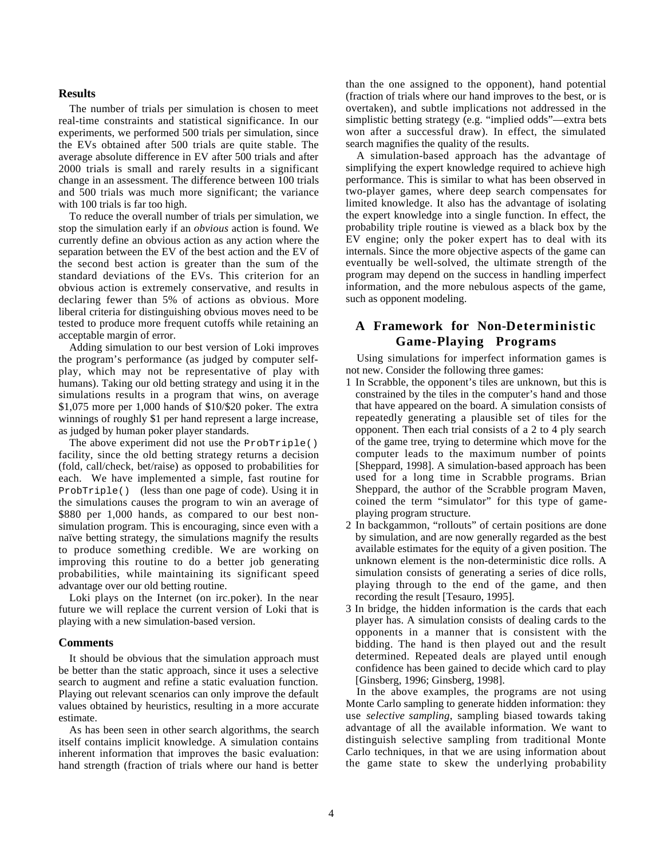#### **Results**

The number of trials per simulation is chosen to meet real-time constraints and statistical significance. In our experiments, we performed 500 trials per simulation, since the EVs obtained after 500 trials are quite stable. The average absolute difference in EV after 500 trials and after 2000 trials is small and rarely results in a significant change in an assessment. The difference between 100 trials and 500 trials was much more significant; the variance with 100 trials is far too high.

To reduce the overall number of trials per simulation, we stop the simulation early if an *obvious* action is found. We currently define an obvious action as any action where the separation between the EV of the best action and the EV of the second best action is greater than the sum of the standard deviations of the EVs. This criterion for an obvious action is extremely conservative, and results in declaring fewer than 5% of actions as obvious. More liberal criteria for distinguishing obvious moves need to be tested to produce more frequent cutoffs while retaining an acceptable margin of error.

Adding simulation to our best version of Loki improves the program's performance (as judged by computer selfplay, which may not be representative of play with humans). Taking our old betting strategy and using it in the simulations results in a program that wins, on average \$1,075 more per 1,000 hands of \$10/\$20 poker. The extra winnings of roughly \$1 per hand represent a large increase, as judged by human poker player standards.

The above experiment did not use the ProbTriple() facility, since the old betting strategy returns a decision (fold, call/check, bet/raise) as opposed to probabilities for each. We have implemented a simple, fast routine for ProbTriple() (less than one page of code). Using it in the simulations causes the program to win an average of \$880 per 1,000 hands, as compared to our best nonsimulation program. This is encouraging, since even with a naïve betting strategy, the simulations magnify the results to produce something credible. We are working on improving this routine to do a better job generating probabilities, while maintaining its significant speed advantage over our old betting routine.

Loki plays on the Internet (on irc.poker). In the near future we will replace the current version of Loki that is playing with a new simulation-based version.

### **Comments**

It should be obvious that the simulation approach must be better than the static approach, since it uses a selective search to augment and refine a static evaluation function. Playing out relevant scenarios can only improve the default values obtained by heuristics, resulting in a more accurate estimate.

As has been seen in other search algorithms, the search itself contains implicit knowledge. A simulation contains inherent information that improves the basic evaluation: hand strength (fraction of trials where our hand is better

than the one assigned to the opponent), hand potential (fraction of trials where our hand improves to the best, or is overtaken), and subtle implications not addressed in the simplistic betting strategy (e.g. "implied odds"—extra bets won after a successful draw). In effect, the simulated search magnifies the quality of the results.

A simulation-based approach has the advantage of simplifying the expert knowledge required to achieve high performance. This is similar to what has been observed in two-player games, where deep search compensates for limited knowledge. It also has the advantage of isolating the expert knowledge into a single function. In effect, the probability triple routine is viewed as a black box by the EV engine; only the poker expert has to deal with its internals. Since the more objective aspects of the game can eventually be well-solved, the ultimate strength of the program may depend on the success in handling imperfect information, and the more nebulous aspects of the game, such as opponent modeling.

# **A Framework for Non-Deterministic Game-Playing Programs**

Using simulations for imperfect information games is not new. Consider the following three games:

- 1 In Scrabble, the opponent's tiles are unknown, but this is constrained by the tiles in the computer's hand and those that have appeared on the board. A simulation consists of repeatedly generating a plausible set of tiles for the opponent. Then each trial consists of a 2 to 4 ply search of the game tree, trying to determine which move for the computer leads to the maximum number of points [Sheppard, 1998]. A simulation-based approach has been used for a long time in Scrabble programs. Brian Sheppard, the author of the Scrabble program Maven, coined the term "simulator" for this type of gameplaying program structure.
- 2 In backgammon, "rollouts" of certain positions are done by simulation, and are now generally regarded as the best available estimates for the equity of a given position. The unknown element is the non-deterministic dice rolls. A simulation consists of generating a series of dice rolls, playing through to the end of the game, and then recording the result [Tesauro, 1995].
- 3 In bridge, the hidden information is the cards that each player has. A simulation consists of dealing cards to the opponents in a manner that is consistent with the bidding. The hand is then played out and the result determined. Repeated deals are played until enough confidence has been gained to decide which card to play [Ginsberg, 1996; Ginsberg, 1998].

In the above examples, the programs are not using Monte Carlo sampling to generate hidden information: they use *selective sampling*, sampling biased towards taking advantage of all the available information. We want to distinguish selective sampling from traditional Monte Carlo techniques, in that we are using information about the game state to skew the underlying probability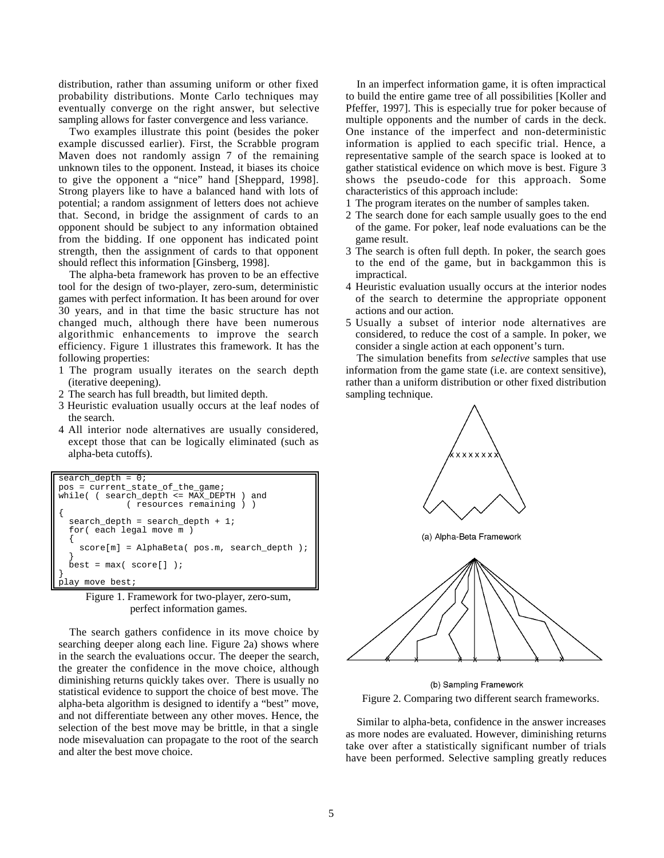distribution, rather than assuming uniform or other fixed probability distributions. Monte Carlo techniques may eventually converge on the right answer, but selective sampling allows for faster convergence and less variance.

Two examples illustrate this point (besides the poker example discussed earlier). First, the Scrabble program Maven does not randomly assign 7 of the remaining unknown tiles to the opponent. Instead, it biases its choice to give the opponent a "nice" hand [Sheppard, 1998]. Strong players like to have a balanced hand with lots of potential; a random assignment of letters does not achieve that. Second, in bridge the assignment of cards to an opponent should be subject to any information obtained from the bidding. If one opponent has indicated point strength, then the assignment of cards to that opponent should reflect this information [Ginsberg, 1998].

The alpha-beta framework has proven to be an effective tool for the design of two-player, zero-sum, deterministic games with perfect information. It has been around for over 30 years, and in that time the basic structure has not changed much, although there have been numerous algorithmic enhancements to improve the search efficiency. Figure 1 illustrates this framework. It has the following properties:

- 1 The program usually iterates on the search depth (iterative deepening).
- 2 The search has full breadth, but limited depth.
- 3 Heuristic evaluation usually occurs at the leaf nodes of the search.
- 4 All interior node alternatives are usually considered, except those that can be logically eliminated (such as alpha-beta cutoffs).

```
search depth = 0;
pos = current_state_of_the_game;
while( ( search_depth <= MAX_DEPTH ) and
              ( resources remaining ) )
{
 search depth = search depth + 1;
   for( each legal move m )
 {
    score[m] = AlphaBeta( pos.m, search_depth );
 }
  best = max(score[]);
}
    move best;
```
Figure 1. Framework for two-player, zero-sum, perfect information games.

The search gathers confidence in its move choice by searching deeper along each line. Figure 2a) shows where in the search the evaluations occur. The deeper the search, the greater the confidence in the move choice, although diminishing returns quickly takes over. There is usually no statistical evidence to support the choice of best move. The alpha-beta algorithm is designed to identify a "best" move, and not differentiate between any other moves. Hence, the selection of the best move may be brittle, in that a single node misevaluation can propagate to the root of the search and alter the best move choice.

In an imperfect information game, it is often impractical to build the entire game tree of all possibilities [Koller and Pfeffer, 1997]. This is especially true for poker because of multiple opponents and the number of cards in the deck. One instance of the imperfect and non-deterministic information is applied to each specific trial. Hence, a representative sample of the search space is looked at to gather statistical evidence on which move is best. Figure 3 shows the pseudo-code for this approach. Some characteristics of this approach include:

- 1 The program iterates on the number of samples taken.
- 2 The search done for each sample usually goes to the end of the game. For poker, leaf node evaluations can be the game result.
- 3 The search is often full depth. In poker, the search goes to the end of the game, but in backgammon this is impractical.
- 4 Heuristic evaluation usually occurs at the interior nodes of the search to determine the appropriate opponent actions and our action.
- 5 Usually a subset of interior node alternatives are considered, to reduce the cost of a sample. In poker, we consider a single action at each opponent's turn.

The simulation benefits from *selective* samples that use information from the game state (i.e. are context sensitive), rather than a uniform distribution or other fixed distribution sampling technique.



(a) Alpha-Beta Framework



(b) Sampling Framework Figure 2. Comparing two different search frameworks.

Similar to alpha-beta, confidence in the answer increases as more nodes are evaluated. However, diminishing returns take over after a statistically significant number of trials have been performed. Selective sampling greatly reduces